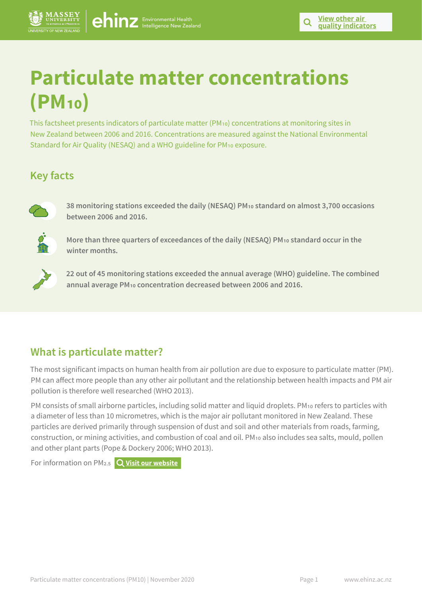

# **Particulate matter concentrations (PM10)**

This factsheet presents indicators of particulate matter (PM10) concentrations at monitoring sites in New Zealand between 2006 and 2016. Concentrations are measured against the National Environmental Standard for Air Quality (NESAQ) and a WHO guideline for PM<sub>10</sub> exposure.

# **Key facts**



**38 monitoring stations exceeded the daily (NESAQ) PM10 standard on almost 3,700 occasions between 2006 and 2016.** 



**More than three quarters of exceedances of the daily (NESAQ) PM10 standard occur in the winter months.** 



**22 out of 45 monitoring stations exceeded the annual average (WHO) guideline. The combined annual average PM10 concentration decreased between 2006 and 2016.** 

### **What is particulate matter?**

The most significant impacts on human health from air pollution are due to exposure to particulate matter (PM). PM can affect more people than any other air pollutant and the relationship between health impacts and PM air pollution is therefore well researched (WHO 2013).

PM consists of small airborne particles, including solid matter and liquid droplets. PM10 refers to particles with a diameter of less than 10 micrometres, which is the major air pollutant monitored in New Zealand. These particles are derived primarily through suspension of dust and soil and other materials from roads, farming, construction, or mining activities, and combustion of coal and oil. PM10 also includes sea salts, mould, pollen and other plant parts (Pope & Dockery 2006; WHO 2013).

For information on PM2.5 **[Visit our website](https://www.ehinz.ac.nz/indicators/air-quality/particulate-matter/)**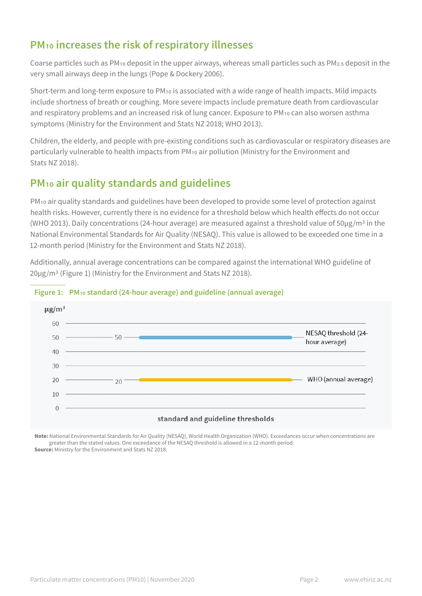## **PM10 increases the risk of respiratory illnesses**

Coarse particles such as PM10 deposit in the upper airways, whereas small particles such as PM2.5 deposit in the very small airways deep in the lungs (Pope & Dockery 2006).

Short-term and long-term exposure to PM10 is associated with a wide range of health impacts. Mild impacts include shortness of breath or coughing. More severe impacts include premature death from cardiovascular and respiratory problems and an increased risk of lung cancer. Exposure to PM10 can also worsen asthma symptoms (Ministry for the Environment and Stats NZ 2018; WHO 2013).

Children, the elderly, and people with pre-existing conditions such as cardiovascular or respiratory diseases are particularly vulnerable to health impacts from PM10 air pollution (Ministry for the Environment and Stats NZ 2018).

# **PM10 air quality standards and guidelines**

PM10 air quality standards and guidelines have been developed to provide some level of protection against health risks. However, currently there is no evidence for a threshold below which health effects do not occur (WHO 2013). Daily concentrations (24-hour average) are measured against a threshold value of  $50\mu$ g/m<sup>3</sup> in the National Environmental Standards for Air Quality (NESAQ). This value is allowed to be exceeded one time in a 12-month period (Ministry for the Environment and Stats NZ 2018).

Additionally, annual average concentrations can be compared against the international WHO guideline of 20µg/m3 (Figure 1) (Ministry for the Environment and Stats NZ 2018).



#### **Figure 1: PM10 standard (24-hour average) and guideline (annual average)**

**Note:** National Environmental Standards for Air Quality (NESAQ), World Health Organization (WHO). Exceedances occur when concentrations are greater than the stated values. One exceedance of the NESAQ threshold is allowed in a 12-month period. **Source:** Ministry for the Environment and Stats NZ 2018.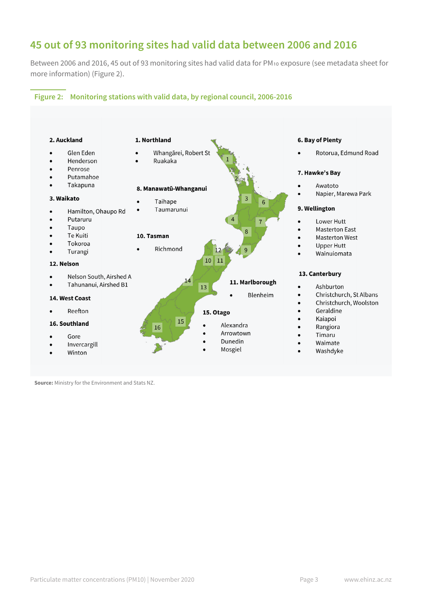### **45 out of 93 monitoring sites had valid data between 2006 and 2016**

Between 2006 and 2016, 45 out of 93 monitoring sites had valid data for PM10 exposure (see metadata sheet for more information) (Figure 2).

#### **Figure 2: Monitoring stations with valid data, by regional council, 2006-2016**



**Source:** Ministry for the Environment and Stats NZ.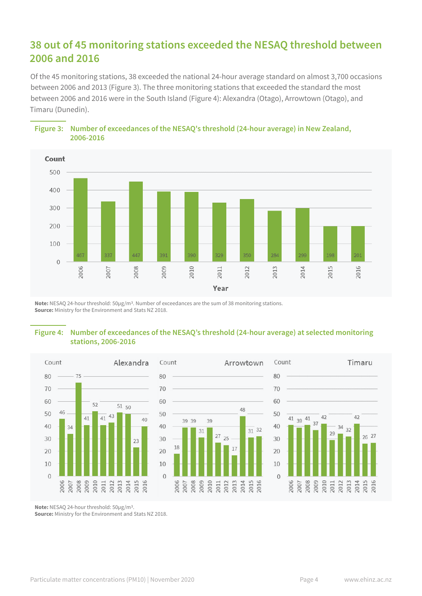### **38 out of 45 monitoring stations exceeded the NESAQ threshold between 2006 and 2016**

Of the 45 monitoring stations, 38 exceeded the national 24-hour average standard on almost 3,700 occasions between 2006 and 2013 (Figure 3). The three monitoring stations that exceeded the standard the most between 2006 and 2016 were in the South Island (Figure 4): Alexandra (Otago), Arrowtown (Otago), and Timaru (Dunedin).



**Figure 3: Number of exceedances of the NESAQ's threshold (24-hour average) in New Zealand, 2006-2016**

**Note:** NESAQ 24-hour threshold: 50µg/m3. Number of exceedances are the sum of 38 monitoring stations. **Source:** Ministry for the Environment and Stats NZ 2018.

#### **Figure 4: Number of exceedances of the NESAQ's threshold (24-hour average) at selected monitoring stations, 2006-2016**



**Note:** NESAQ 24-hour threshold: 50µg/m3.

**Source:** Ministry for the Environment and Stats NZ 2018.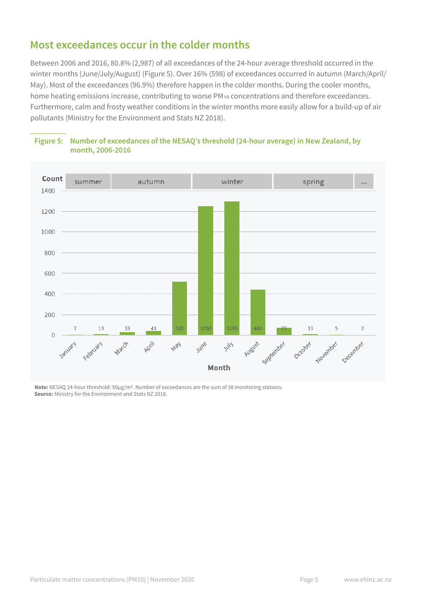### **Most exceedances occur in the colder months**

Between 2006 and 2016, 80.8% (2,987) of all exceedances of the 24-hour average threshold occurred in the winter months (June/July/August) (Figure 5). Over 16% (598) of exceedances occurred in autumn (March/April/ May). Most of the exceedances (96.9%) therefore happen in the colder months. During the cooler months, home heating emissions increase, contributing to worse PM10 concentrations and therefore exceedances. Furthermore, calm and frosty weather conditions in the winter months more easily allow for a build-up of air pollutants (Ministry for the Environment and Stats NZ 2018).





**Note:** NESAQ 24-hour threshold: 50µg/m3. Number of exceedances are the sum of 38 monitoring stations. **Source:** Ministry for the Environment and Stats NZ 2018.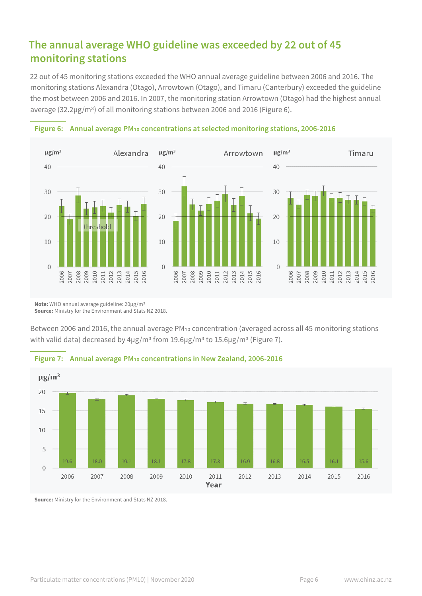### **The annual average WHO guideline was exceeded by 22 out of 45 monitoring stations**

22 out of 45 monitoring stations exceeded the WHO annual average guideline between 2006 and 2016. The monitoring stations Alexandra (Otago), Arrowtown (Otago), and Timaru (Canterbury) exceeded the guideline the most between 2006 and 2016. In 2007, the monitoring station Arrowtown (Otago) had the highest annual average (32.2µg/m3) of all monitoring stations between 2006 and 2016 (Figure 6).





**Note:** WHO annual average guideline: 20µg/m3 **Source:** Ministry for the Environment and Stats NZ 2018.

Between 2006 and 2016, the annual average PM10 concentration (averaged across all 45 monitoring stations with valid data) decreased by 4µg/m<sup>3</sup> from 19.6µg/m<sup>3</sup> to 15.6µg/m<sup>3</sup> (Figure 7).





**Source:** Ministry for the Environment and Stats NZ 2018.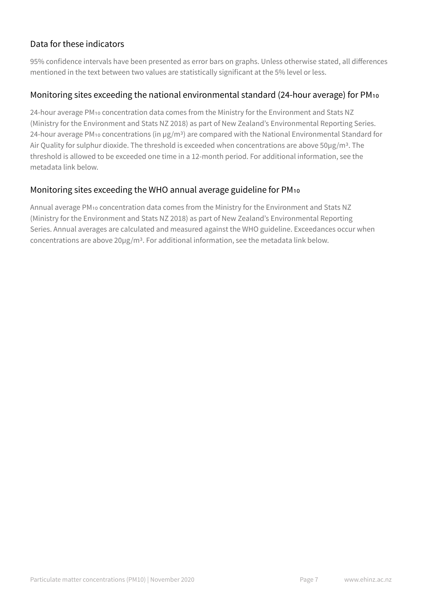### Data for these indicators

95% confidence intervals have been presented as error bars on graphs. Unless otherwise stated, all differences mentioned in the text between two values are statistically significant at the 5% level or less.

### Monitoring sites exceeding the national environmental standard (24-hour average) for PM10

24-hour average PM10 concentration data comes from the Ministry for the Environment and Stats NZ (Ministry for the Environment and Stats NZ 2018) as part of New Zealand's Environmental Reporting Series. 24-hour average PM<sub>10</sub> concentrations (in µg/m<sup>3</sup>) are compared with the National Environmental Standard for Air Quality for sulphur dioxide. The threshold is exceeded when concentrations are above 50µg/m<sup>3</sup>. The threshold is allowed to be exceeded one time in a 12-month period. For additional information, see the metadata link below.

### Monitoring sites exceeding the WHO annual average guideline for PM10

Annual average PM10 concentration data comes from the Ministry for the Environment and Stats NZ (Ministry for the Environment and Stats NZ 2018) as part of New Zealand's Environmental Reporting Series. Annual averages are calculated and measured against the WHO guideline. Exceedances occur when concentrations are above 20µg/m3. For additional information, see the metadata link below.